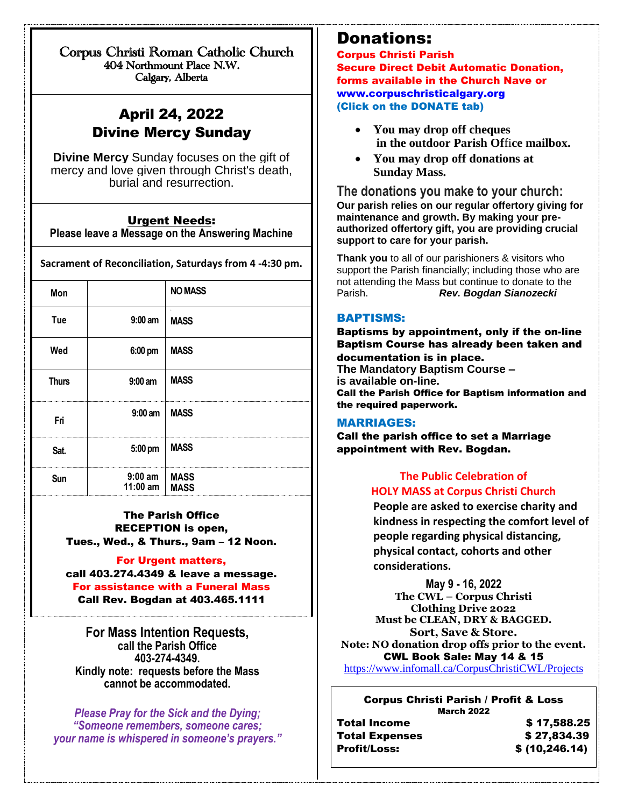Corpus Christi Roman Catholic Church 404 Northmount Place N.W. Calgary, Alberta

# April 24, 2022 Divine Mercy Sunday

 $\overline{a}$ 

**Divine Mercy** Sunday focuses on the gift of mercy and love given through Christ's death, burial and resurrection.

#### Urgent Needs:

**Please leave a Message on the Answering Machine**

**Sacrament of Reconciliation, Saturdays from 4 -4:30 pm.**

| Mon          |                              | <b>NO MASS</b>                |
|--------------|------------------------------|-------------------------------|
| Tue          | $9:00$ am                    | $\blacksquare$<br><b>MASS</b> |
| Wed          | 6:00 pm                      | <b>MASS</b>                   |
| <b>Thurs</b> | $9:00$ am                    | <b>MASS</b>                   |
| Fri          | $9:00$ am                    | <b>MASS</b>                   |
| Sat.         | 5:00 pm                      | <b>MASS</b>                   |
| Sun          | $9:00$ am<br>11:00 am   MASS | <b>MASS</b>                   |

The Parish Office RECEPTION is open, Tues., Wed., & Thurs., 9am – 12 Noon.

#### For Urgent matters,

call 403.274.4349 & leave a message. For assistance with a Funeral Mass Call Rev. Bogdan at 403.465.1111

**For Mass Intention Requests, call the Parish Office 403-274-4349. Kindly note: requests before the Mass cannot be accommodated.** 

*Please Pray for the Sick and the Dying; "Someone remembers, someone cares; your name is whispered in someone's prayers."*

## Donations:

Corpus Christi Parish Secure Direct Debit Automatic Donation, forms available in the Church Nave or [www.corpuschristicalgary.org](http://www.corpuschristicalgary.org/) (Click on the DONATE tab)

- **You may drop off cheques in the outdoor Parish Of**fi**ce mailbox.**
- **You may drop off donations at Sunday Mass.**

**The donations you make to your church: Our parish relies on our regular offertory giving for maintenance and growth. By making your preauthorized offertory gift, you are providing crucial support to care for your parish.**

**Thank you** to all of our parishioners & visitors who support the Parish financially; including those who are not attending the Mass but continue to donate to the Parish. *Rev. Bogdan Sianozecki*

### BAPTISMS:

Baptisms by appointment, only if the on-line Baptism Course has already been taken and documentation is in place. **The Mandatory Baptism Course – is available on-line.**  Call the Parish Office for Baptism information and the required paperwork.

### MARRIAGES:

Call the parish office to set a Marriage appointment with Rev. Bogdan.

### **The Public Celebration of HOLY MASS at Corpus Christi Church**

**People are asked to exercise charity and kindness in respecting the comfort level of people regarding physical distancing, physical contact, cohorts and other considerations.**

**May 9 - 16, 2022 The CWL – Corpus Christi Clothing Drive 2022 Must be CLEAN, DRY & BAGGED. Sort, Save & Store. Note: NO donation drop offs prior to the event.** CWL Book Sale: May 14 & 15 <https://www.infomall.ca/CorpusChristiCWL/Projects>

### Corpus Christi Parish / Profit & Loss

|                       | <b>March 2022</b> |
|-----------------------|-------------------|
| <b>Total Income</b>   | \$17,588.25       |
| <b>Total Expenses</b> | \$27,834.39       |
| <b>Profit/Loss:</b>   | \$ (10, 246.14)   |